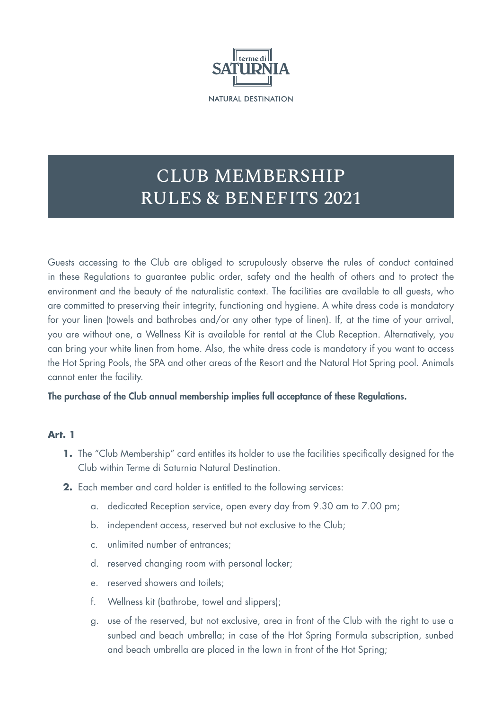

# CLUB MEMBERSHIP RULES & BENEFITS 2021

Guests accessing to the Club are obliged to scrupulously observe the rules of conduct contained in these Regulations to guarantee public order, safety and the health of others and to protect the environment and the beauty of the naturalistic context. The facilities are available to all guests, who are committed to preserving their integrity, functioning and hygiene. A white dress code is mandatory for your linen (towels and bathrobes and/or any other type of linen). If, at the time of your arrival, you are without one, a Wellness Kit is available for rental at the Club Reception. Alternatively, you can bring your white linen from home. Also, the white dress code is mandatory if you want to access the Hot Spring Pools, the SPA and other areas of the Resort and the Natural Hot Spring pool. Animals cannot enter the facility.

The purchase of the Club annual membership implies full acceptance of these Regulations.

## **Art. 1**

- **1.** The "Club Membership" card entitles its holder to use the facilities specifically designed for the Club within Terme di Saturnia Natural Destination.
- **2.** Each member and card holder is entitled to the following services:
	- a. dedicated Reception service, open every day from 9.30 am to 7.00 pm;
	- b. independent access, reserved but not exclusive to the Club;
	- c. unlimited number of entrances;
	- d. reserved changing room with personal locker;
	- e. reserved showers and toilets;
	- f. Wellness kit (bathrobe, towel and slippers);
	- g. use of the reserved, but not exclusive, area in front of the Club with the right to use a sunbed and beach umbrella; in case of the Hot Spring Formula subscription, sunbed and beach umbrella are placed in the lawn in front of the Hot Spring;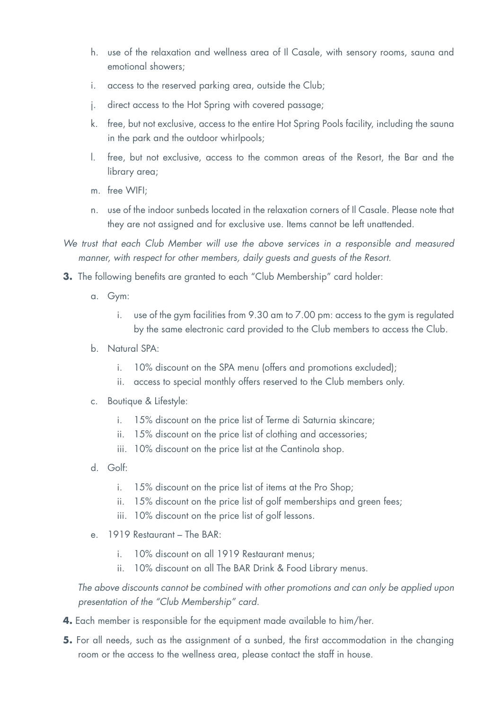- h. use of the relaxation and wellness area of Il Casale, with sensory rooms, sauna and emotional showers;
- i. access to the reserved parking area, outside the Club;
- j. direct access to the Hot Spring with covered passage;
- k. free, but not exclusive, access to the entire Hot Spring Pools facility, including the sauna in the park and the outdoor whirlpools;
- l. free, but not exclusive, access to the common areas of the Resort, the Bar and the library area;
- m. free WIFI;
- n. use of the indoor sunbeds located in the relaxation corners of Il Casale. Please note that they are not assigned and for exclusive use. Items cannot be left unattended.
- *We trust that each Club Member will use the above services in a responsible and measured manner, with respect for other members, daily guests and guests of the Resort.*
- **3.** The following benefits are granted to each "Club Membership" card holder:
	- a. Gym:
		- i. use of the gym facilities from 9.30 am to 7.00 pm: access to the gym is regulated by the same electronic card provided to the Club members to access the Club.
	- b. Natural SPA:
		- i. 10% discount on the SPA menu (offers and promotions excluded);
		- ii. access to special monthly offers reserved to the Club members only.
	- c. Boutique & Lifestyle:
		- i. 15% discount on the price list of Terme di Saturnia skincare;
		- ii. 15% discount on the price list of clothing and accessories;
		- iii. 10% discount on the price list at the Cantinola shop.
	- d. Golf:
		- i. 15% discount on the price list of items at the Pro Shop;
		- ii. 15% discount on the price list of golf memberships and green fees;
		- iii. 10% discount on the price list of golf lessons.
	- e. 1919 Restaurant The BAR:
		- i. 10% discount on all 1919 Restaurant menus;
		- ii. 10% discount on all The BAR Drink & Food Library menus.

*The above discounts cannot be combined with other promotions and can only be applied upon presentation of the "Club Membership" card.*

- **4.** Each member is responsible for the equipment made available to him/her.
- **5.** For all needs, such as the assignment of a sunbed, the first accommodation in the changing room or the access to the wellness area, please contact the staff in house.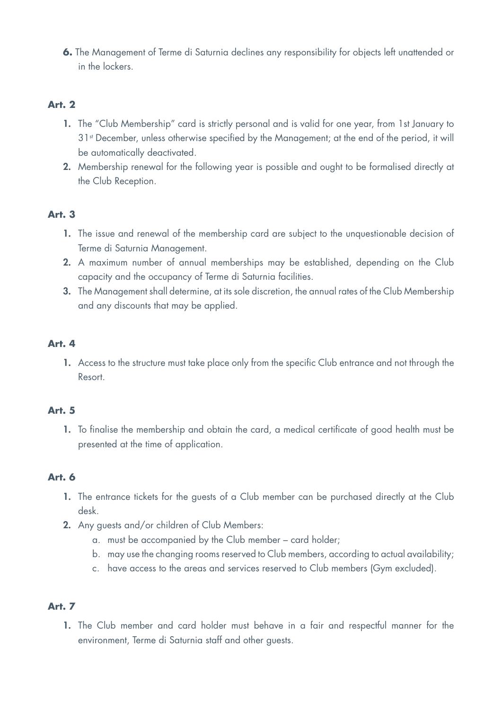**6.** The Management of Terme di Saturnia declines any responsibility for objects left unattended or in the lockers.

# **Art. 2**

- 1. The "Club Membership" card is strictly personal and is valid for one year, from 1st January to 31<sup>st</sup> December, unless otherwise specified by the Management; at the end of the period, it will be automatically deactivated.
- 2. Membership renewal for the following year is possible and ought to be formalised directly at the Club Reception.

# **Art. 3**

- 1. The issue and renewal of the membership card are subject to the unquestionable decision of Terme di Saturnia Management.
- 2. A maximum number of annual memberships may be established, depending on the Club capacity and the occupancy of Terme di Saturnia facilities.
- 3. The Management shall determine, at its sole discretion, the annual rates of the Club Membership and any discounts that may be applied.

## **Art. 4**

1. Access to the structure must take place only from the specific Club entrance and not through the Resort.

## **Art. 5**

1. To finalise the membership and obtain the card, a medical certificate of good health must be presented at the time of application.

## **Art. 6**

- 1. The entrance tickets for the guests of a Club member can be purchased directly at the Club desk.
- 2. Any guests and/or children of Club Members:
	- a. must be accompanied by the Club member card holder;
	- b. may use the changing rooms reserved to Club members, according to actual availability;
	- c. have access to the areas and services reserved to Club members (Gym excluded).

# **Art. 7**

1. The Club member and card holder must behave in a fair and respectful manner for the environment, Terme di Saturnia staff and other guests.